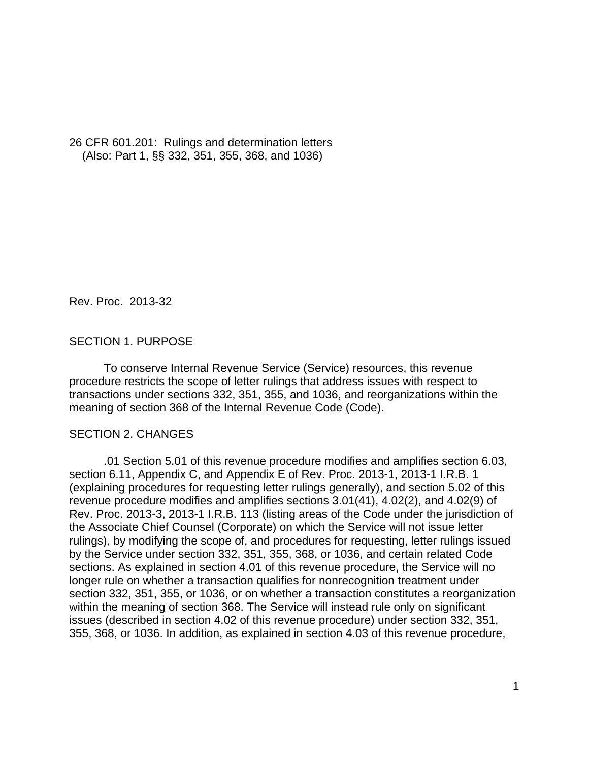26 CFR 601.201: Rulings and determination letters (Also: Part 1, §§ 332, 351, 355, 368, and 1036)

Rev. Proc. 2013-32

## SECTION 1. PURPOSE

To conserve Internal Revenue Service (Service) resources, this revenue procedure restricts the scope of letter rulings that address issues with respect to transactions under sections 332, 351, 355, and 1036, and reorganizations within the meaning of section 368 of the Internal Revenue Code (Code).

### SECTION 2. CHANGES

.01 Section 5.01 of this revenue procedure modifies and amplifies section 6.03, section 6.11, Appendix C, and Appendix E of Rev. Proc. 2013-1, 2013-1 I.R.B. 1 (explaining procedures for requesting letter rulings generally), and section 5.02 of this revenue procedure modifies and amplifies sections 3.01(41), 4.02(2), and 4.02(9) of Rev. Proc. 2013-3, 2013-1 I.R.B. 113 (listing areas of the Code under the jurisdiction of the Associate Chief Counsel (Corporate) on which the Service will not issue letter rulings), by modifying the scope of, and procedures for requesting, letter rulings issued by the Service under section 332, 351, 355, 368, or 1036, and certain related Code sections. As explained in section 4.01 of this revenue procedure, the Service will no longer rule on whether a transaction qualifies for nonrecognition treatment under section 332, 351, 355, or 1036, or on whether a transaction constitutes a reorganization within the meaning of section 368. The Service will instead rule only on significant issues (described in section 4.02 of this revenue procedure) under section 332, 351, 355, 368, or 1036. In addition, as explained in section 4.03 of this revenue procedure,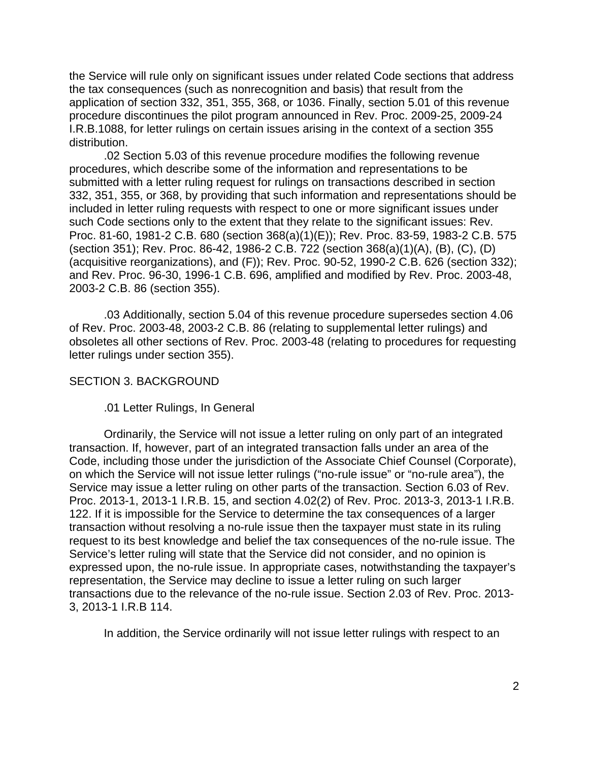the Service will rule only on significant issues under related Code sections that address the tax consequences (such as nonrecognition and basis) that result from the application of section 332, 351, 355, 368, or 1036. Finally, section 5.01 of this revenue procedure discontinues the pilot program announced in Rev. Proc. 2009-25, 2009-24 I.R.B.1088, for letter rulings on certain issues arising in the context of a section 355 distribution.

.02 Section 5.03 of this revenue procedure modifies the following revenue procedures, which describe some of the information and representations to be submitted with a letter ruling request for rulings on transactions described in section 332, 351, 355, or 368, by providing that such information and representations should be included in letter ruling requests with respect to one or more significant issues under such Code sections only to the extent that they relate to the significant issues: Rev. Proc. 81-60, 1981-2 C.B. 680 (section 368(a)(1)(E)); Rev. Proc. 83-59, 1983-2 C.B. 575 (section 351); Rev. Proc. 86-42, 1986-2 C.B. 722 (section 368(a)(1)(A), (B), (C), (D) (acquisitive reorganizations), and (F)); Rev. Proc. 90-52, 1990-2 C.B. 626 (section 332); and Rev. Proc. 96-30, 1996-1 C.B. 696, amplified and modified by Rev. Proc. 2003-48, 2003-2 C.B. 86 (section 355).

.03 Additionally, section 5.04 of this revenue procedure supersedes section 4.06 of Rev. Proc. 2003-48, 2003-2 C.B. 86 (relating to supplemental letter rulings) and obsoletes all other sections of Rev. Proc. 2003-48 (relating to procedures for requesting letter rulings under section 355).

#### SECTION 3. BACKGROUND

#### .01 Letter Rulings, In General

 Ordinarily, the Service will not issue a letter ruling on only part of an integrated transaction. If, however, part of an integrated transaction falls under an area of the Code, including those under the jurisdiction of the Associate Chief Counsel (Corporate), on which the Service will not issue letter rulings ("no-rule issue" or "no-rule area"), the Service may issue a letter ruling on other parts of the transaction. Section 6.03 of Rev. Proc. 2013-1, 2013-1 I.R.B. 15, and section 4.02(2) of Rev. Proc. 2013-3, 2013-1 I.R.B. 122. If it is impossible for the Service to determine the tax consequences of a larger transaction without resolving a no-rule issue then the taxpayer must state in its ruling request to its best knowledge and belief the tax consequences of the no-rule issue. The Service's letter ruling will state that the Service did not consider, and no opinion is expressed upon, the no-rule issue. In appropriate cases, notwithstanding the taxpayer's representation, the Service may decline to issue a letter ruling on such larger transactions due to the relevance of the no-rule issue. Section 2.03 of Rev. Proc. 2013- 3, 2013-1 I.R.B 114.

In addition, the Service ordinarily will not issue letter rulings with respect to an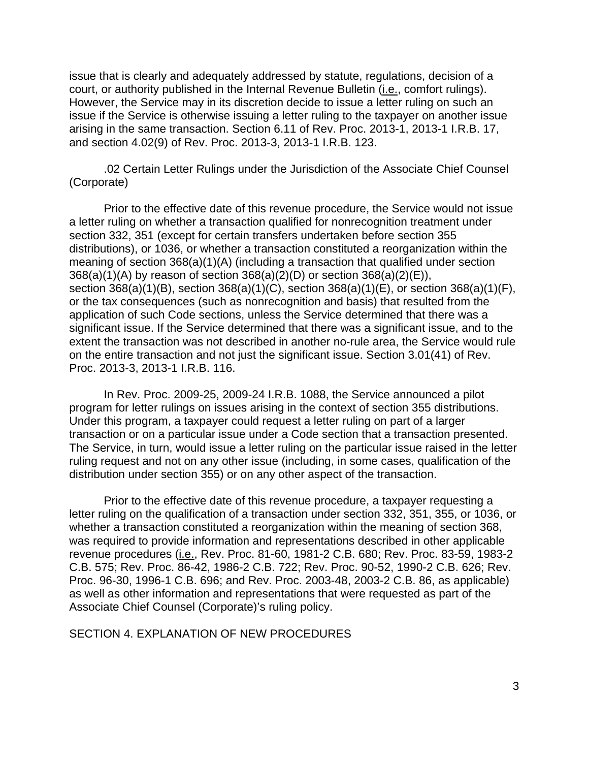issue that is clearly and adequately addressed by statute, regulations, decision of a court, or authority published in the Internal Revenue Bulletin (*i.e.*, comfort rulings). However, the Service may in its discretion decide to issue a letter ruling on such an issue if the Service is otherwise issuing a letter ruling to the taxpayer on another issue arising in the same transaction. Section 6.11 of Rev. Proc. 2013-1, 2013-1 I.R.B. 17, and section 4.02(9) of Rev. Proc. 2013-3, 2013-1 I.R.B. 123.

 .02 Certain Letter Rulings under the Jurisdiction of the Associate Chief Counsel (Corporate)

Prior to the effective date of this revenue procedure, the Service would not issue a letter ruling on whether a transaction qualified for nonrecognition treatment under section 332, 351 (except for certain transfers undertaken before section 355 distributions), or 1036, or whether a transaction constituted a reorganization within the meaning of section 368(a)(1)(A) (including a transaction that qualified under section 368(a)(1)(A) by reason of section 368(a)(2)(D) or section 368(a)(2)(E)), section 368(a)(1)(B), section 368(a)(1)(C), section 368(a)(1)(E), or section 368(a)(1)(F), or the tax consequences (such as nonrecognition and basis) that resulted from the application of such Code sections, unless the Service determined that there was a significant issue. If the Service determined that there was a significant issue, and to the extent the transaction was not described in another no-rule area, the Service would rule on the entire transaction and not just the significant issue. Section 3.01(41) of Rev. Proc. 2013-3, 2013-1 I.R.B. 116.

In Rev. Proc. 2009-25, 2009-24 I.R.B. 1088, the Service announced a pilot program for letter rulings on issues arising in the context of section 355 distributions. Under this program, a taxpayer could request a letter ruling on part of a larger transaction or on a particular issue under a Code section that a transaction presented. The Service, in turn, would issue a letter ruling on the particular issue raised in the letter ruling request and not on any other issue (including, in some cases, qualification of the distribution under section 355) or on any other aspect of the transaction.

Prior to the effective date of this revenue procedure, a taxpayer requesting a letter ruling on the qualification of a transaction under section 332, 351, 355, or 1036, or whether a transaction constituted a reorganization within the meaning of section 368, was required to provide information and representations described in other applicable revenue procedures (i.e., Rev. Proc. 81-60, 1981-2 C.B. 680; Rev. Proc. 83-59, 1983-2 C.B. 575; Rev. Proc. 86-42, 1986-2 C.B. 722; Rev. Proc. 90-52, 1990-2 C.B. 626; Rev. Proc. 96-30, 1996-1 C.B. 696; and Rev. Proc. 2003-48, 2003-2 C.B. 86, as applicable) as well as other information and representations that were requested as part of the Associate Chief Counsel (Corporate)'s ruling policy.

SECTION 4. EXPLANATION OF NEW PROCEDURES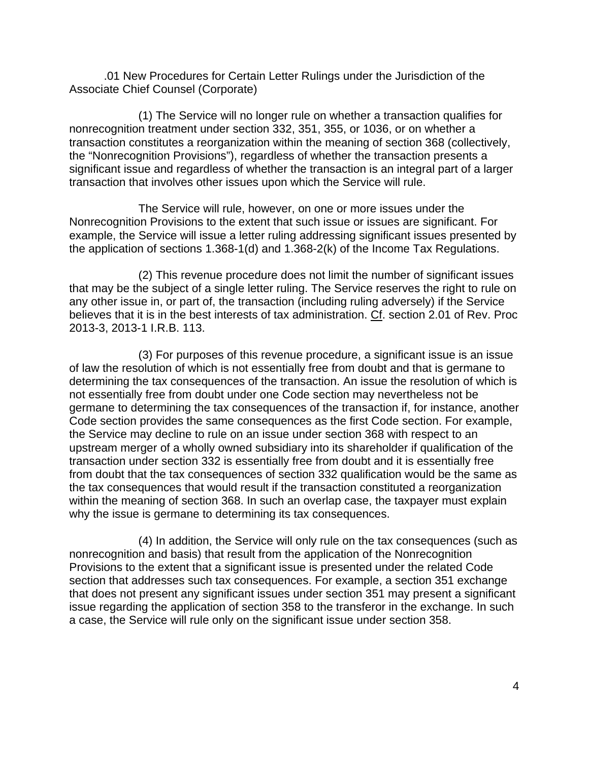.01 New Procedures for Certain Letter Rulings under the Jurisdiction of the Associate Chief Counsel (Corporate)

 (1) The Service will no longer rule on whether a transaction qualifies for nonrecognition treatment under section 332, 351, 355, or 1036, or on whether a transaction constitutes a reorganization within the meaning of section 368 (collectively, the "Nonrecognition Provisions"), regardless of whether the transaction presents a significant issue and regardless of whether the transaction is an integral part of a larger transaction that involves other issues upon which the Service will rule.

 The Service will rule, however, on one or more issues under the Nonrecognition Provisions to the extent that such issue or issues are significant. For example, the Service will issue a letter ruling addressing significant issues presented by the application of sections 1.368-1(d) and 1.368-2(k) of the Income Tax Regulations.

 (2) This revenue procedure does not limit the number of significant issues that may be the subject of a single letter ruling. The Service reserves the right to rule on any other issue in, or part of, the transaction (including ruling adversely) if the Service believes that it is in the best interests of tax administration. Cf. section 2.01 of Rev. Proc 2013-3, 2013-1 I.R.B. 113.

 (3) For purposes of this revenue procedure, a significant issue is an issue of law the resolution of which is not essentially free from doubt and that is germane to determining the tax consequences of the transaction. An issue the resolution of which is not essentially free from doubt under one Code section may nevertheless not be germane to determining the tax consequences of the transaction if, for instance, another Code section provides the same consequences as the first Code section. For example, the Service may decline to rule on an issue under section 368 with respect to an upstream merger of a wholly owned subsidiary into its shareholder if qualification of the transaction under section 332 is essentially free from doubt and it is essentially free from doubt that the tax consequences of section 332 qualification would be the same as the tax consequences that would result if the transaction constituted a reorganization within the meaning of section 368. In such an overlap case, the taxpayer must explain why the issue is germane to determining its tax consequences.

 (4) In addition, the Service will only rule on the tax consequences (such as nonrecognition and basis) that result from the application of the Nonrecognition Provisions to the extent that a significant issue is presented under the related Code section that addresses such tax consequences. For example, a section 351 exchange that does not present any significant issues under section 351 may present a significant issue regarding the application of section 358 to the transferor in the exchange. In such a case, the Service will rule only on the significant issue under section 358.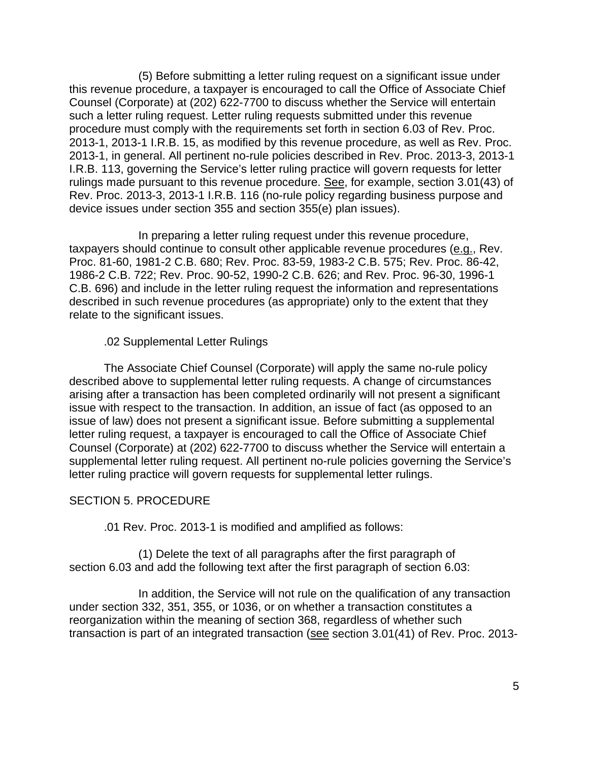(5) Before submitting a letter ruling request on a significant issue under this revenue procedure, a taxpayer is encouraged to call the Office of Associate Chief Counsel (Corporate) at (202) 622-7700 to discuss whether the Service will entertain such a letter ruling request. Letter ruling requests submitted under this revenue procedure must comply with the requirements set forth in section 6.03 of Rev. Proc. 2013-1, 2013-1 I.R.B. 15, as modified by this revenue procedure, as well as Rev. Proc. 2013-1, in general. All pertinent no-rule policies described in Rev. Proc. 2013-3, 2013-1 I.R.B. 113, governing the Service's letter ruling practice will govern requests for letter rulings made pursuant to this revenue procedure. See, for example, section 3.01(43) of Rev. Proc. 2013-3, 2013-1 I.R.B. 116 (no-rule policy regarding business purpose and device issues under section 355 and section 355(e) plan issues).

 In preparing a letter ruling request under this revenue procedure, taxpayers should continue to consult other applicable revenue procedures (e.g., Rev. Proc. 81-60, 1981-2 C.B. 680; Rev. Proc. 83-59, 1983-2 C.B. 575; Rev. Proc. 86-42, 1986-2 C.B. 722; Rev. Proc. 90-52, 1990-2 C.B. 626; and Rev. Proc. 96-30, 1996-1 C.B. 696) and include in the letter ruling request the information and representations described in such revenue procedures (as appropriate) only to the extent that they relate to the significant issues.

.02 Supplemental Letter Rulings

The Associate Chief Counsel (Corporate) will apply the same no-rule policy described above to supplemental letter ruling requests. A change of circumstances arising after a transaction has been completed ordinarily will not present a significant issue with respect to the transaction. In addition, an issue of fact (as opposed to an issue of law) does not present a significant issue. Before submitting a supplemental letter ruling request, a taxpayer is encouraged to call the Office of Associate Chief Counsel (Corporate) at (202) 622-7700 to discuss whether the Service will entertain a supplemental letter ruling request. All pertinent no-rule policies governing the Service's letter ruling practice will govern requests for supplemental letter rulings.

# SECTION 5. PROCEDURE

.01 Rev. Proc. 2013-1 is modified and amplified as follows:

(1) Delete the text of all paragraphs after the first paragraph of section 6.03 and add the following text after the first paragraph of section 6.03:

 In addition, the Service will not rule on the qualification of any transaction under section 332, 351, 355, or 1036, or on whether a transaction constitutes a reorganization within the meaning of section 368, regardless of whether such transaction is part of an integrated transaction (see section 3.01(41) of Rev. Proc. 2013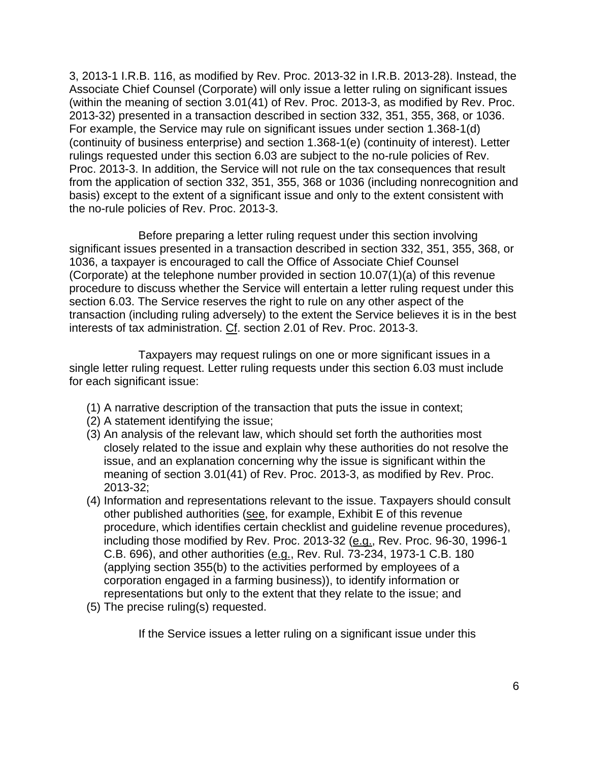3, 2013-1 I.R.B. 116, as modified by Rev. Proc. 2013-32 in I.R.B. 2013-28). Instead, the Associate Chief Counsel (Corporate) will only issue a letter ruling on significant issues (within the meaning of section 3.01(41) of Rev. Proc. 2013-3, as modified by Rev. Proc. 2013-32) presented in a transaction described in section 332, 351, 355, 368, or 1036. For example, the Service may rule on significant issues under section 1.368-1(d) (continuity of business enterprise) and section 1.368-1(e) (continuity of interest). Letter rulings requested under this section 6.03 are subject to the no-rule policies of Rev. Proc. 2013-3. In addition, the Service will not rule on the tax consequences that result from the application of section 332, 351, 355, 368 or 1036 (including nonrecognition and basis) except to the extent of a significant issue and only to the extent consistent with the no-rule policies of Rev. Proc. 2013-3.

 Before preparing a letter ruling request under this section involving significant issues presented in a transaction described in section 332, 351, 355, 368, or 1036, a taxpayer is encouraged to call the Office of Associate Chief Counsel (Corporate) at the telephone number provided in section 10.07(1)(a) of this revenue procedure to discuss whether the Service will entertain a letter ruling request under this section 6.03. The Service reserves the right to rule on any other aspect of the transaction (including ruling adversely) to the extent the Service believes it is in the best interests of tax administration. Cf. section 2.01 of Rev. Proc. 2013-3.

 Taxpayers may request rulings on one or more significant issues in a single letter ruling request. Letter ruling requests under this section 6.03 must include for each significant issue:

- (1) A narrative description of the transaction that puts the issue in context;
- (2) A statement identifying the issue;
- (3) An analysis of the relevant law, which should set forth the authorities most closely related to the issue and explain why these authorities do not resolve the issue, and an explanation concerning why the issue is significant within the meaning of section 3.01(41) of Rev. Proc. 2013-3, as modified by Rev. Proc. 2013-32;
- (4) Information and representations relevant to the issue. Taxpayers should consult other published authorities (see, for example, Exhibit E of this revenue procedure, which identifies certain checklist and guideline revenue procedures), including those modified by Rev. Proc. 2013-32 (e.g., Rev. Proc. 96-30, 1996-1 C.B. 696), and other authorities (e.g., Rev. Rul. 73-234, 1973-1 C.B. 180 (applying section 355(b) to the activities performed by employees of a corporation engaged in a farming business)), to identify information or representations but only to the extent that they relate to the issue; and
- (5) The precise ruling(s) requested.

If the Service issues a letter ruling on a significant issue under this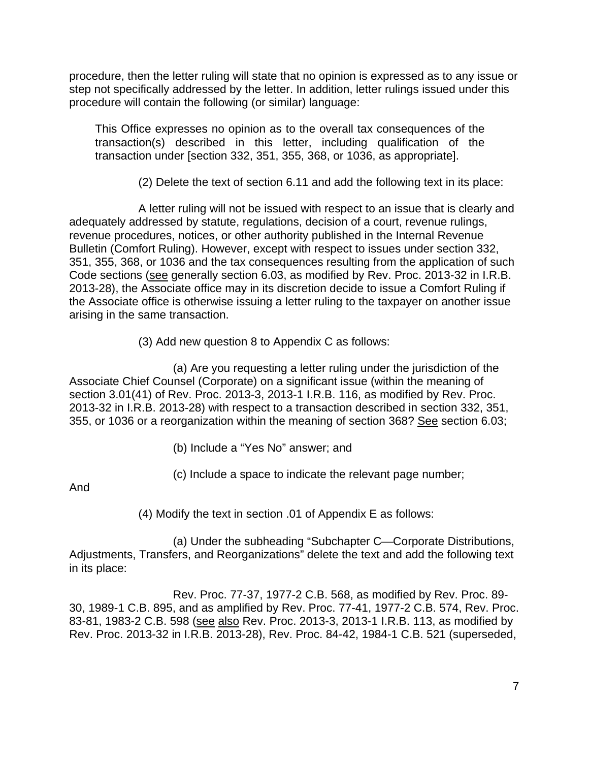procedure, then the letter ruling will state that no opinion is expressed as to any issue or step not specifically addressed by the letter. In addition, letter rulings issued under this procedure will contain the following (or similar) language:

This Office expresses no opinion as to the overall tax consequences of the transaction(s) described in this letter, including qualification of the transaction under [section 332, 351, 355, 368, or 1036, as appropriate].

(2) Delete the text of section 6.11 and add the following text in its place:

 A letter ruling will not be issued with respect to an issue that is clearly and adequately addressed by statute, regulations, decision of a court, revenue rulings, revenue procedures, notices, or other authority published in the Internal Revenue Bulletin (Comfort Ruling). However, except with respect to issues under section 332, 351, 355, 368, or 1036 and the tax consequences resulting from the application of such Code sections (see generally section 6.03, as modified by Rev. Proc. 2013-32 in I.R.B. 2013-28), the Associate office may in its discretion decide to issue a Comfort Ruling if the Associate office is otherwise issuing a letter ruling to the taxpayer on another issue arising in the same transaction.

(3) Add new question 8 to Appendix C as follows:

 (a) Are you requesting a letter ruling under the jurisdiction of the Associate Chief Counsel (Corporate) on a significant issue (within the meaning of section 3.01(41) of Rev. Proc. 2013-3, 2013-1 I.R.B. 116, as modified by Rev. Proc. 2013-32 in I.R.B. 2013-28) with respect to a transaction described in section 332, 351, 355, or 1036 or a reorganization within the meaning of section 368? See section 6.03;

- (b) Include a "Yes No" answer; and
- (c) Include a space to indicate the relevant page number;

And

(4) Modify the text in section .01 of Appendix E as follows:

(a) Under the subheading "Subchapter C—Corporate Distributions, Adjustments, Transfers, and Reorganizations" delete the text and add the following text in its place:

 Rev. Proc. 77-37, 1977-2 C.B. 568, as modified by Rev. Proc. 89- 30, 1989-1 C.B. 895, and as amplified by Rev. Proc. 77-41, 1977-2 C.B. 574, Rev. Proc. 83-81, 1983-2 C.B. 598 (see also Rev. Proc. 2013-3, 2013-1 I.R.B. 113, as modified by Rev. Proc. 2013-32 in I.R.B. 2013-28), Rev. Proc. 84-42, 1984-1 C.B. 521 (superseded,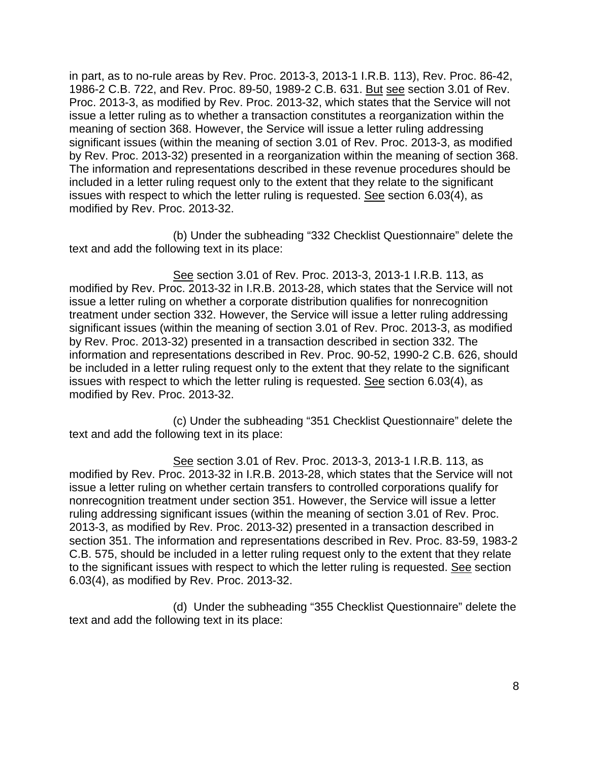in part, as to no-rule areas by Rev. Proc. 2013-3, 2013-1 I.R.B. 113), Rev. Proc. 86-42, 1986-2 C.B. 722, and Rev. Proc. 89-50, 1989-2 C.B. 631. But see section 3.01 of Rev. Proc. 2013-3, as modified by Rev. Proc. 2013-32, which states that the Service will not issue a letter ruling as to whether a transaction constitutes a reorganization within the meaning of section 368. However, the Service will issue a letter ruling addressing significant issues (within the meaning of section 3.01 of Rev. Proc. 2013-3, as modified by Rev. Proc. 2013-32) presented in a reorganization within the meaning of section 368. The information and representations described in these revenue procedures should be included in a letter ruling request only to the extent that they relate to the significant issues with respect to which the letter ruling is requested. See section 6.03(4), as modified by Rev. Proc. 2013-32.

(b) Under the subheading "332 Checklist Questionnaire" delete the text and add the following text in its place:

 See section 3.01 of Rev. Proc. 2013-3, 2013-1 I.R.B. 113, as modified by Rev. Proc. 2013-32 in I.R.B. 2013-28, which states that the Service will not issue a letter ruling on whether a corporate distribution qualifies for nonrecognition treatment under section 332. However, the Service will issue a letter ruling addressing significant issues (within the meaning of section 3.01 of Rev. Proc. 2013-3, as modified by Rev. Proc. 2013-32) presented in a transaction described in section 332. The information and representations described in Rev. Proc. 90-52, 1990-2 C.B. 626, should be included in a letter ruling request only to the extent that they relate to the significant issues with respect to which the letter ruling is requested. See section 6.03(4), as modified by Rev. Proc. 2013-32.

 (c) Under the subheading "351 Checklist Questionnaire" delete the text and add the following text in its place:

 See section 3.01 of Rev. Proc. 2013-3, 2013-1 I.R.B. 113, as modified by Rev. Proc. 2013-32 in I.R.B. 2013-28, which states that the Service will not issue a letter ruling on whether certain transfers to controlled corporations qualify for nonrecognition treatment under section 351. However, the Service will issue a letter ruling addressing significant issues (within the meaning of section 3.01 of Rev. Proc. 2013-3, as modified by Rev. Proc. 2013-32) presented in a transaction described in section 351. The information and representations described in Rev. Proc. 83-59, 1983-2 C.B. 575, should be included in a letter ruling request only to the extent that they relate to the significant issues with respect to which the letter ruling is requested. See section 6.03(4), as modified by Rev. Proc. 2013-32.

 (d) Under the subheading "355 Checklist Questionnaire" delete the text and add the following text in its place: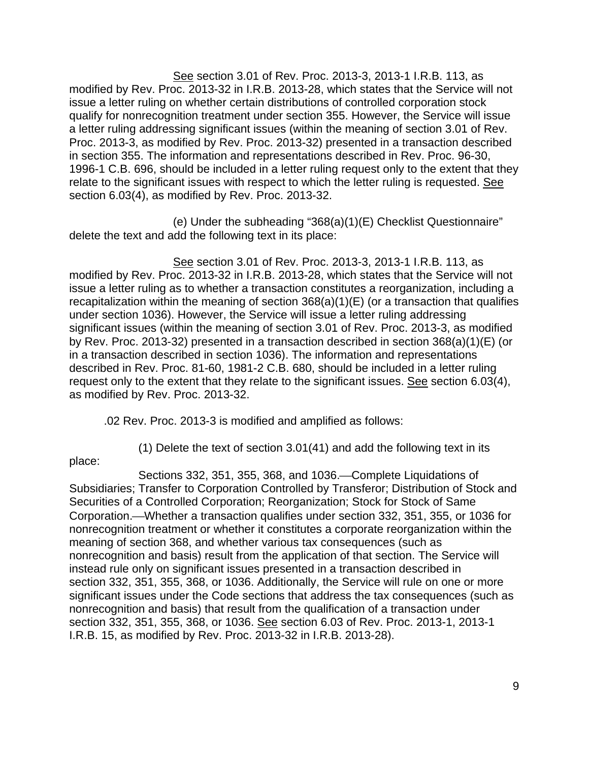See section 3.01 of Rev. Proc. 2013-3, 2013-1 I.R.B. 113, as modified by Rev. Proc. 2013-32 in I.R.B. 2013-28, which states that the Service will not issue a letter ruling on whether certain distributions of controlled corporation stock qualify for nonrecognition treatment under section 355. However, the Service will issue a letter ruling addressing significant issues (within the meaning of section 3.01 of Rev. Proc. 2013-3, as modified by Rev. Proc. 2013-32) presented in a transaction described in section 355. The information and representations described in Rev. Proc. 96-30, 1996-1 C.B. 696, should be included in a letter ruling request only to the extent that they relate to the significant issues with respect to which the letter ruling is requested. See section 6.03(4), as modified by Rev. Proc. 2013-32.

 (e) Under the subheading "368(a)(1)(E) Checklist Questionnaire" delete the text and add the following text in its place:

 See section 3.01 of Rev. Proc. 2013-3, 2013-1 I.R.B. 113, as modified by Rev. Proc. 2013-32 in I.R.B. 2013-28, which states that the Service will not issue a letter ruling as to whether a transaction constitutes a reorganization, including a recapitalization within the meaning of section 368(a)(1)(E) (or a transaction that qualifies under section 1036). However, the Service will issue a letter ruling addressing significant issues (within the meaning of section 3.01 of Rev. Proc. 2013-3, as modified by Rev. Proc. 2013-32) presented in a transaction described in section 368(a)(1)(E) (or in a transaction described in section 1036). The information and representations described in Rev. Proc. 81-60, 1981-2 C.B. 680, should be included in a letter ruling request only to the extent that they relate to the significant issues. See section 6.03(4), as modified by Rev. Proc. 2013-32.

.02 Rev. Proc. 2013-3 is modified and amplified as follows:

place:

(1) Delete the text of section 3.01(41) and add the following text in its

Sections 332, 351, 355, 368, and 1036.—Complete Liquidations of Subsidiaries; Transfer to Corporation Controlled by Transferor; Distribution of Stock and Securities of a Controlled Corporation; Reorganization; Stock for Stock of Same Corporation.⎯Whether a transaction qualifies under section 332, 351, 355, or 1036 for nonrecognition treatment or whether it constitutes a corporate reorganization within the meaning of section 368, and whether various tax consequences (such as nonrecognition and basis) result from the application of that section. The Service will instead rule only on significant issues presented in a transaction described in section 332, 351, 355, 368, or 1036. Additionally, the Service will rule on one or more significant issues under the Code sections that address the tax consequences (such as nonrecognition and basis) that result from the qualification of a transaction under section 332, 351, 355, 368, or 1036. See section 6.03 of Rev. Proc. 2013-1, 2013-1 I.R.B. 15, as modified by Rev. Proc. 2013-32 in I.R.B. 2013-28).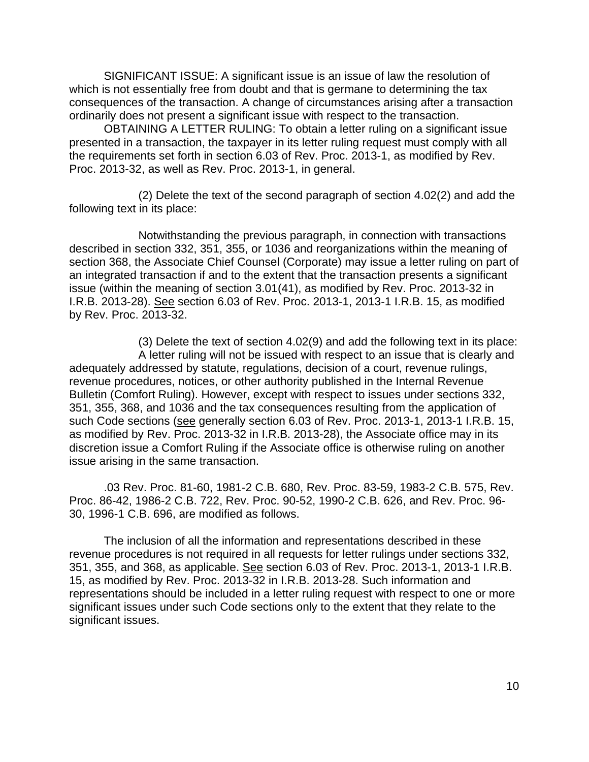SIGNIFICANT ISSUE: A significant issue is an issue of law the resolution of which is not essentially free from doubt and that is germane to determining the tax consequences of the transaction. A change of circumstances arising after a transaction ordinarily does not present a significant issue with respect to the transaction.

OBTAINING A LETTER RULING: To obtain a letter ruling on a significant issue presented in a transaction, the taxpayer in its letter ruling request must comply with all the requirements set forth in section 6.03 of Rev. Proc. 2013-1, as modified by Rev. Proc. 2013-32, as well as Rev. Proc. 2013-1, in general.

 (2) Delete the text of the second paragraph of section 4.02(2) and add the following text in its place:

 Notwithstanding the previous paragraph, in connection with transactions described in section 332, 351, 355, or 1036 and reorganizations within the meaning of section 368, the Associate Chief Counsel (Corporate) may issue a letter ruling on part of an integrated transaction if and to the extent that the transaction presents a significant issue (within the meaning of section 3.01(41), as modified by Rev. Proc. 2013-32 in I.R.B. 2013-28). See section 6.03 of Rev. Proc. 2013-1, 2013-1 I.R.B. 15, as modified by Rev. Proc. 2013-32.

 (3) Delete the text of section 4.02(9) and add the following text in its place: A letter ruling will not be issued with respect to an issue that is clearly and adequately addressed by statute, regulations, decision of a court, revenue rulings, revenue procedures, notices, or other authority published in the Internal Revenue Bulletin (Comfort Ruling). However, except with respect to issues under sections 332, 351, 355, 368, and 1036 and the tax consequences resulting from the application of such Code sections (see generally section 6.03 of Rev. Proc. 2013-1, 2013-1 I.R.B. 15, as modified by Rev. Proc. 2013-32 in I.R.B. 2013-28), the Associate office may in its discretion issue a Comfort Ruling if the Associate office is otherwise ruling on another issue arising in the same transaction.

.03 Rev. Proc. 81-60, 1981-2 C.B. 680, Rev. Proc. 83-59, 1983-2 C.B. 575, Rev. Proc. 86-42, 1986-2 C.B. 722, Rev. Proc. 90-52, 1990-2 C.B. 626, and Rev. Proc. 96- 30, 1996-1 C.B. 696, are modified as follows.

The inclusion of all the information and representations described in these revenue procedures is not required in all requests for letter rulings under sections 332, 351, 355, and 368, as applicable. See section 6.03 of Rev. Proc. 2013-1, 2013-1 I.R.B. 15, as modified by Rev. Proc. 2013-32 in I.R.B. 2013-28. Such information and representations should be included in a letter ruling request with respect to one or more significant issues under such Code sections only to the extent that they relate to the significant issues.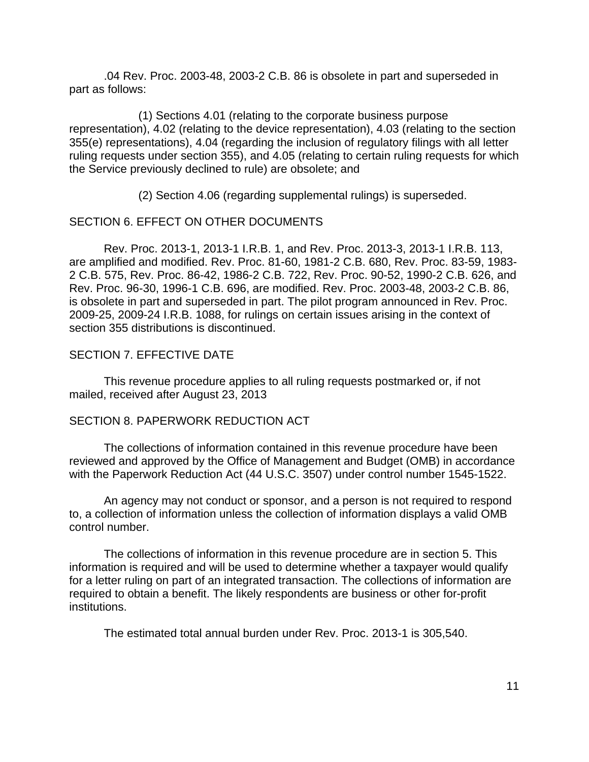.04 Rev. Proc. 2003-48, 2003-2 C.B. 86 is obsolete in part and superseded in part as follows:

 (1) Sections 4.01 (relating to the corporate business purpose representation), 4.02 (relating to the device representation), 4.03 (relating to the section 355(e) representations), 4.04 (regarding the inclusion of regulatory filings with all letter ruling requests under section 355), and 4.05 (relating to certain ruling requests for which the Service previously declined to rule) are obsolete; and

(2) Section 4.06 (regarding supplemental rulings) is superseded.

# SECTION 6. EFFECT ON OTHER DOCUMENTS

 Rev. Proc. 2013-1, 2013-1 I.R.B. 1, and Rev. Proc. 2013-3, 2013-1 I.R.B. 113, are amplified and modified. Rev. Proc. 81-60, 1981-2 C.B. 680, Rev. Proc. 83-59, 1983- 2 C.B. 575, Rev. Proc. 86-42, 1986-2 C.B. 722, Rev. Proc. 90-52, 1990-2 C.B. 626, and Rev. Proc. 96-30, 1996-1 C.B. 696, are modified. Rev. Proc. 2003-48, 2003-2 C.B. 86, is obsolete in part and superseded in part. The pilot program announced in Rev. Proc. 2009-25, 2009-24 I.R.B. 1088, for rulings on certain issues arising in the context of section 355 distributions is discontinued.

## SECTION 7. EFFECTIVE DATE

 This revenue procedure applies to all ruling requests postmarked or, if not mailed, received after August 23, 2013

### SECTION 8. PAPERWORK REDUCTION ACT

 The collections of information contained in this revenue procedure have been reviewed and approved by the Office of Management and Budget (OMB) in accordance with the Paperwork Reduction Act (44 U.S.C. 3507) under control number 1545-1522.

 An agency may not conduct or sponsor, and a person is not required to respond to, a collection of information unless the collection of information displays a valid OMB control number.

 The collections of information in this revenue procedure are in section 5. This information is required and will be used to determine whether a taxpayer would qualify for a letter ruling on part of an integrated transaction. The collections of information are required to obtain a benefit. The likely respondents are business or other for-profit institutions.

The estimated total annual burden under Rev. Proc. 2013-1 is 305,540.